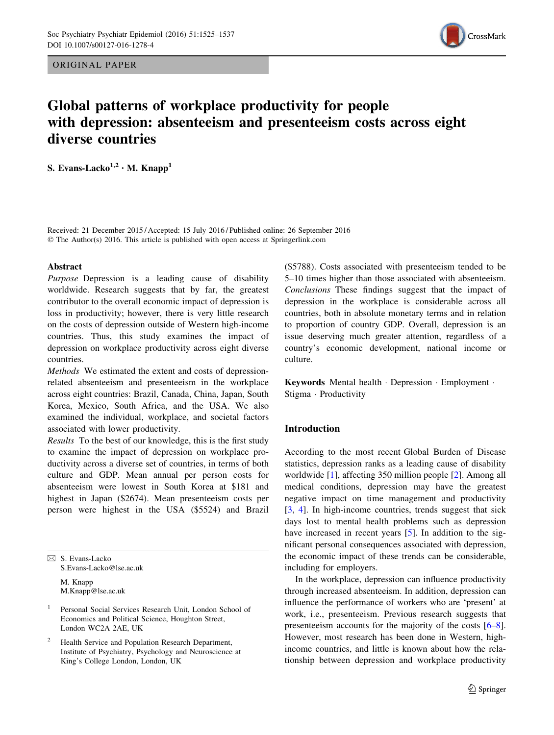ORIGINAL PAPER



# Global patterns of workplace productivity for people with depression: absenteeism and presenteeism costs across eight diverse countries

S. Evans-Lacko<sup>1,2</sup> · M. Knapp<sup>1</sup>

Received: 21 December 2015 / Accepted: 15 July 2016 / Published online: 26 September 2016 © The Author(s) 2016. This article is published with open access at Springerlink.com

#### Abstract

Purpose Depression is a leading cause of disability worldwide. Research suggests that by far, the greatest contributor to the overall economic impact of depression is loss in productivity; however, there is very little research on the costs of depression outside of Western high-income countries. Thus, this study examines the impact of depression on workplace productivity across eight diverse countries.

Methods We estimated the extent and costs of depressionrelated absenteeism and presenteeism in the workplace across eight countries: Brazil, Canada, China, Japan, South Korea, Mexico, South Africa, and the USA. We also examined the individual, workplace, and societal factors associated with lower productivity.

Results To the best of our knowledge, this is the first study to examine the impact of depression on workplace productivity across a diverse set of countries, in terms of both culture and GDP. Mean annual per person costs for absenteeism were lowest in South Korea at \$181 and highest in Japan (\$2674). Mean presenteeism costs per person were highest in the USA (\$5524) and Brazil

& S. Evans-Lacko S.Evans-Lacko@lse.ac.uk M. Knapp M.Knapp@lse.ac.uk

Health Service and Population Research Department, Institute of Psychiatry, Psychology and Neuroscience at King's College London, London, UK

(\$5788). Costs associated with presenteeism tended to be 5–10 times higher than those associated with absenteeism. Conclusions These findings suggest that the impact of depression in the workplace is considerable across all countries, both in absolute monetary terms and in relation to proportion of country GDP. Overall, depression is an issue deserving much greater attention, regardless of a country's economic development, national income or culture.

Keywords Mental health - Depression - Employment - Stigma - Productivity

# Introduction

According to the most recent Global Burden of Disease statistics, depression ranks as a leading cause of disability worldwide [[1\]](#page-11-0), affecting 350 million people [\[2](#page-11-0)]. Among all medical conditions, depression may have the greatest negative impact on time management and productivity [\[3](#page-11-0), [4](#page-11-0)]. In high-income countries, trends suggest that sick days lost to mental health problems such as depression have increased in recent years [\[5](#page-11-0)]. In addition to the significant personal consequences associated with depression, the economic impact of these trends can be considerable, including for employers.

In the workplace, depression can influence productivity through increased absenteeism. In addition, depression can influence the performance of workers who are 'present' at work, i.e., presenteeism. Previous research suggests that presenteeism accounts for the majority of the costs [\[6–8](#page-11-0)]. However, most research has been done in Western, highincome countries, and little is known about how the relationship between depression and workplace productivity

<sup>1</sup> Personal Social Services Research Unit, London School of Economics and Political Science, Houghton Street, London WC2A 2AE, UK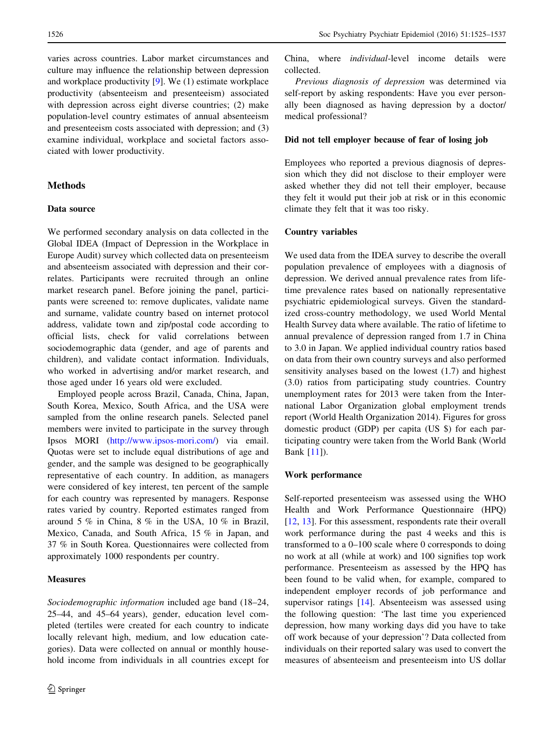varies across countries. Labor market circumstances and culture may influence the relationship between depression and workplace productivity [\[9](#page-11-0)]. We (1) estimate workplace productivity (absenteeism and presenteeism) associated with depression across eight diverse countries; (2) make population-level country estimates of annual absenteeism and presenteeism costs associated with depression; and (3) examine individual, workplace and societal factors associated with lower productivity.

## Methods

# Data source

We performed secondary analysis on data collected in the Global IDEA (Impact of Depression in the Workplace in Europe Audit) survey which collected data on presenteeism and absenteeism associated with depression and their correlates. Participants were recruited through an online market research panel. Before joining the panel, participants were screened to: remove duplicates, validate name and surname, validate country based on internet protocol address, validate town and zip/postal code according to official lists, check for valid correlations between sociodemographic data (gender, and age of parents and children), and validate contact information. Individuals, who worked in advertising and/or market research, and those aged under 16 years old were excluded.

Employed people across Brazil, Canada, China, Japan, South Korea, Mexico, South Africa, and the USA were sampled from the online research panels. Selected panel members were invited to participate in the survey through Ipsos MORI [\(http://www.ipsos-mori.com/\)](http://www.ipsos-mori.com/) via email. Quotas were set to include equal distributions of age and gender, and the sample was designed to be geographically representative of each country. In addition, as managers were considered of key interest, ten percent of the sample for each country was represented by managers. Response rates varied by country. Reported estimates ranged from around 5 % in China, 8 % in the USA, 10 % in Brazil, Mexico, Canada, and South Africa, 15 % in Japan, and 37 % in South Korea. Questionnaires were collected from approximately 1000 respondents per country.

# **Measures**

Sociodemographic information included age band (18–24, 25–44, and 45–64 years), gender, education level completed (tertiles were created for each country to indicate locally relevant high, medium, and low education categories). Data were collected on annual or monthly household income from individuals in all countries except for China, where individual-level income details were collected.

Previous diagnosis of depression was determined via self-report by asking respondents: Have you ever personally been diagnosed as having depression by a doctor/ medical professional?

# Did not tell employer because of fear of losing job

Employees who reported a previous diagnosis of depression which they did not disclose to their employer were asked whether they did not tell their employer, because they felt it would put their job at risk or in this economic climate they felt that it was too risky.

# Country variables

We used data from the IDEA survey to describe the overall population prevalence of employees with a diagnosis of depression. We derived annual prevalence rates from lifetime prevalence rates based on nationally representative psychiatric epidemiological surveys. Given the standardized cross-country methodology, we used World Mental Health Survey data where available. The ratio of lifetime to annual prevalence of depression ranged from 1.7 in China to 3.0 in Japan. We applied individual country ratios based on data from their own country surveys and also performed sensitivity analyses based on the lowest (1.7) and highest (3.0) ratios from participating study countries. Country unemployment rates for 2013 were taken from the International Labor Organization global employment trends report (World Health Organization 2014). Figures for gross domestic product (GDP) per capita (US \$) for each participating country were taken from the World Bank (World Bank [[11\]](#page-11-0)).

# Work performance

Self-reported presenteeism was assessed using the WHO Health and Work Performance Questionnaire (HPQ) [\[12](#page-11-0), [13\]](#page-11-0). For this assessment, respondents rate their overall work performance during the past 4 weeks and this is transformed to a 0–100 scale where 0 corresponds to doing no work at all (while at work) and 100 signifies top work performance. Presenteeism as assessed by the HPQ has been found to be valid when, for example, compared to independent employer records of job performance and supervisor ratings [\[14](#page-11-0)]. Absenteeism was assessed using the following question: 'The last time you experienced depression, how many working days did you have to take off work because of your depression'? Data collected from individuals on their reported salary was used to convert the measures of absenteeism and presenteeism into US dollar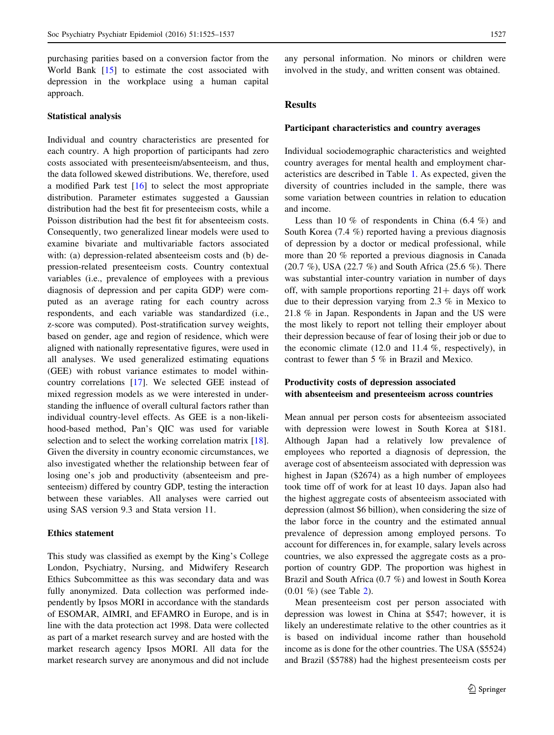purchasing parities based on a conversion factor from the World Bank [[15\]](#page-11-0) to estimate the cost associated with depression in the workplace using a human capital approach.

# Statistical analysis

Individual and country characteristics are presented for each country. A high proportion of participants had zero costs associated with presenteeism/absenteeism, and thus, the data followed skewed distributions. We, therefore, used a modified Park test [[16\]](#page-11-0) to select the most appropriate distribution. Parameter estimates suggested a Gaussian distribution had the best fit for presenteeism costs, while a Poisson distribution had the best fit for absenteeism costs. Consequently, two generalized linear models were used to examine bivariate and multivariable factors associated with: (a) depression-related absenteeism costs and (b) depression-related presenteeism costs. Country contextual variables (i.e., prevalence of employees with a previous diagnosis of depression and per capita GDP) were computed as an average rating for each country across respondents, and each variable was standardized (i.e., z-score was computed). Post-stratification survey weights, based on gender, age and region of residence, which were aligned with nationally representative figures, were used in all analyses. We used generalized estimating equations (GEE) with robust variance estimates to model withincountry correlations [\[17](#page-11-0)]. We selected GEE instead of mixed regression models as we were interested in understanding the influence of overall cultural factors rather than individual country-level effects. As GEE is a non-likelihood-based method, Pan's QIC was used for variable selection and to select the working correlation matrix [\[18](#page-11-0)]. Given the diversity in country economic circumstances, we also investigated whether the relationship between fear of losing one's job and productivity (absenteeism and presenteeism) differed by country GDP, testing the interaction between these variables. All analyses were carried out using SAS version 9.3 and Stata version 11.

# Ethics statement

This study was classified as exempt by the King's College London, Psychiatry, Nursing, and Midwifery Research Ethics Subcommittee as this was secondary data and was fully anonymized. Data collection was performed independently by Ipsos MORI in accordance with the standards of ESOMAR, AIMRI, and EFAMRO in Europe, and is in line with the data protection act 1998. Data were collected as part of a market research survey and are hosted with the market research agency Ipsos MORI. All data for the market research survey are anonymous and did not include

any personal information. No minors or children were involved in the study, and written consent was obtained.

# Results

#### Participant characteristics and country averages

Individual sociodemographic characteristics and weighted country averages for mental health and employment characteristics are described in Table [1.](#page-3-0) As expected, given the diversity of countries included in the sample, there was some variation between countries in relation to education and income.

Less than 10  $%$  of respondents in China (6.4  $%$ ) and South Korea (7.4 %) reported having a previous diagnosis of depression by a doctor or medical professional, while more than 20 % reported a previous diagnosis in Canada (20.7 %), USA (22.7 %) and South Africa (25.6 %). There was substantial inter-country variation in number of days off, with sample proportions reporting  $21+$  days off work due to their depression varying from 2.3 % in Mexico to 21.8 % in Japan. Respondents in Japan and the US were the most likely to report not telling their employer about their depression because of fear of losing their job or due to the economic climate  $(12.0 \text{ and } 11.4 \%$ , respectively), in contrast to fewer than 5 % in Brazil and Mexico.

# Productivity costs of depression associated with absenteeism and presenteeism across countries

Mean annual per person costs for absenteeism associated with depression were lowest in South Korea at \$181. Although Japan had a relatively low prevalence of employees who reported a diagnosis of depression, the average cost of absenteeism associated with depression was highest in Japan (\$2674) as a high number of employees took time off of work for at least 10 days. Japan also had the highest aggregate costs of absenteeism associated with depression (almost \$6 billion), when considering the size of the labor force in the country and the estimated annual prevalence of depression among employed persons. To account for differences in, for example, salary levels across countries, we also expressed the aggregate costs as a proportion of country GDP. The proportion was highest in Brazil and South Africa (0.7 %) and lowest in South Korea (0.01 %) (see Table [2\)](#page-4-0).

Mean presenteeism cost per person associated with depression was lowest in China at \$547; however, it is likely an underestimate relative to the other countries as it is based on individual income rather than household income as is done for the other countries. The USA (\$5524) and Brazil (\$5788) had the highest presenteeism costs per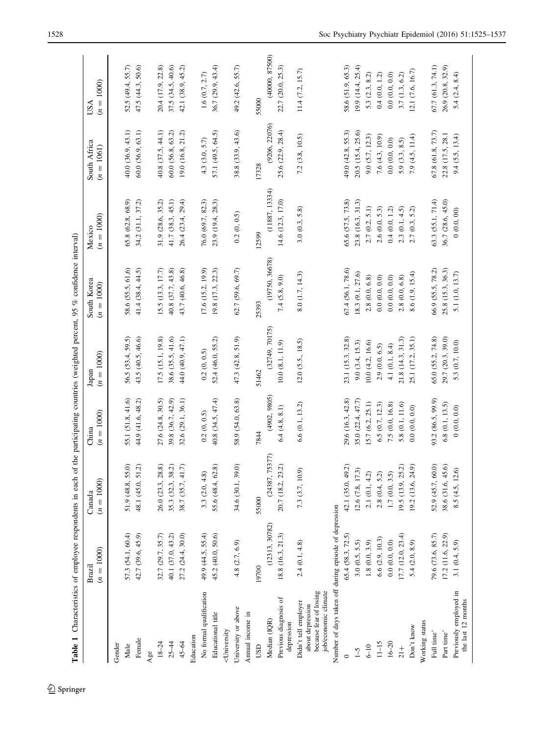<span id="page-3-0"></span>

| Table 1 Characteristics of employee respondents in each of                                                |                        |                        |                       |                       | the participating countries (weighted percent, 95 % confidence interval) |                        |                              |                            |
|-----------------------------------------------------------------------------------------------------------|------------------------|------------------------|-----------------------|-----------------------|--------------------------------------------------------------------------|------------------------|------------------------------|----------------------------|
|                                                                                                           | $(n = 1000)$<br>Brazil | $(n = 1000)$<br>Canada | $(n = 1000)$<br>China | $(n = 1000)$<br>Japan | South Korea<br>$(n = 1000)$                                              | $(n = 1000)$<br>Mexico | South Africa<br>$(n = 1061)$ | $(n = 1000)$<br><b>USA</b> |
| Gender                                                                                                    |                        |                        |                       |                       |                                                                          |                        |                              |                            |
| Male                                                                                                      | 57.3 (54.1, 60.4)      | 51.9 (48.8, 55.0)      | 55.1 (51.8, 41.6)     | 56.5 (53.4, 59.5)     | 58.6 (55.5, 61,6)                                                        | 65.8 (62.8, 68.9)      | 40.0 (36.9, 43.1)            | 52.5 (49.4, 55.7)          |
| Female                                                                                                    | 42.7 (39.6, 45.9)      | 48.1 (45.0, 51.2)      | 44.9 (41.6, 48.2)     | 43.5 (40.5, 46.6)     | 41.4 (38.4, 44.5)                                                        | 34,2 (31.1, 37.2)      | 60.0(56.9, 63.1)             | 47.5 (44.3, 50.6)          |
| Age                                                                                                       |                        |                        |                       |                       |                                                                          |                        |                              |                            |
| $18 - 24$                                                                                                 | 32.7 (29.7, 35.7)      | 26.0(23.3, 28.8)       | 27.6 (24.8, 30.5)     | 17.5 (15.1, 19.8)     | 15.5 (13.3, 17.7)                                                        | 31.9 (28.6, 35.2)      | 40.8 (37.5, 44.1)            | 20.4 (17.9, 22.8)          |
| $25 - 44$                                                                                                 | 40.1 (37.0, 43.2)      | 35.3 (32.3, 38.2)      | 39.8 (36.7, 42.9)     | 38.6 (35.5, 41.6)     | 40.8 (37.7, 43.8)                                                        | 41.7 (38.3, 45.1)      | 60.0(56.8, 63.2)             | 37.5 (34.5, 40.6)          |
| 45-64                                                                                                     | 27.2 (24.4, 30.0)      | 38.7 (35.7, 41.7)      | 32.6(29.1, 36.1)      | 44.0 (40.9, 47.1)     | 43.7 (40.6, 46.8)                                                        | 26.4 (23.4, 29.4)      | 19.0 (16.8, 21.2)            | 42.1 (38.9, 45.2)          |
| Education                                                                                                 |                        |                        |                       |                       |                                                                          |                        |                              |                            |
| No formal qualification                                                                                   | 49.9 (44.5, 55.4)      | 3.3(2.0, 4.8)          | 0.2(0, 0.5)           | 0.2(0, 0.5)           | 17.6 (15.2, 19.9)                                                        | 76.0 (69.7, 82.3)      | 4.3(3.0, 5.7)                | 1.6(0.7, 2.7)              |
| Educational title                                                                                         | 45.2 (40.0, 50.6)      | 55.6 (48.4, 62.8)      | 40.8 (34.5, 47.4)     | 52.4 (46.0, 55.2)     | 19.8 (17.3, 22.3)                                                        | 23.9 (19.4, 28.3)      | 57.1 (49.5, 64.5)            | 36.7 (29.9, 43.4)          |
| <university< td=""><td></td><td></td><td></td><td></td><td></td><td></td><td></td><td></td></university<> |                        |                        |                       |                       |                                                                          |                        |                              |                            |
| University or above                                                                                       | 4.8 (2.7, 6.9)         | 34.6 (30.1, 39.0)      | 58.9 (54.0, 63.8)     | 47.3 (42.8, 51.9)     | 62.7 (59.6, 69.7)                                                        | 0.2(0, 0.5)            | 38.8 (33.9, 43.6)            | 49.2 (42.6, 55.7)          |
| Annual income in                                                                                          |                        |                        |                       |                       |                                                                          |                        |                              |                            |
| USD                                                                                                       | 19700                  | 55000                  | 7844                  | 51462                 | 25393                                                                    | 12599                  | 17328                        | 55000                      |
| Median (IQR)                                                                                              | (12313, 30782)         | (24387, 75377)         | (4902, 9805)          | (32749, 70175)        | (19750, 36678)                                                           | (11887, 13334)         | (9206, 22076)                | (40000, 87500)             |
| Previous diagnosis of<br>depression                                                                       | 18.8 (16.3, 21.3)      | 20.7(18.2, 23.2)       | $6.4\ (4.8,\ 8.1)$    | $10.0\ (8.1,\ 11.9)$  | 7.4(5.8, 9.0)                                                            | 14.6 (12.3, 17.0)      | 25.6(22.9, 28.4)             | 22.7 (20.0, 25.3)          |
| because fear of losing<br>job/economic climate<br>Didn't tell employer<br>about depression                | 2.4(0.1, 4.8)          | 7.3 (3.7, 10.9)        | 6.6(0.1, 13.2)        | 12.0 (5.5, 18.5)      | 8.0 (1.7, 14.3)                                                          | 3.0(0.3, 5.8)          | $7.2$ $(3.8, 10.5)$          | 11.4 (7.2, 15.7)           |
| Number of days taken off during episode of depression                                                     |                        |                        |                       |                       |                                                                          |                        |                              |                            |
|                                                                                                           | 65.4 (58.3, 72.5)      | 42.1 (35.0, 49.2)      | 29.6 (16.3, 42.8)     | 23.1 (15.3, 32.8)     | 67.4 (56.1, 78.6)                                                        | 65.6 (57.5, 73.8)      | 49.0 (42.8, 55.3)            | 58.6 (51.9, 65.3)          |
| $\zeta$ -1                                                                                                | 3.0(0.5, 5.5)          | 12.6 (7.8, 17.3)       | 35.0 (22.4, 47.7)     | 9.0 (3.4, 15.3)       | 18.3 (9.1, 27.6)                                                         | 23.8 (16.3, 31.3)      | 20.5 (15.4, 25.6)            | 19.9(14.4, 25.4)           |
| $6 - 10$                                                                                                  | 1.8(0.0, 3.9)          | 2.1(0.1, 4.2)          | 15.7(6.2, 25.1)       | 10.0 (4.2, 16.6)      | $2.8\ (0.0,\ 6.8)$                                                       | 2.7(0.2, 5.1)          | 9.0 (5.7, 12.3)              | 5.3(2.3, 8.2)              |
| $11 - 15$                                                                                                 | 6.6(2.9, 10.3)         | 2.8(0.4, 5.2)          | 6.5(0.7, 12.3)        | 2.9(0.0, 6.5)         | $0.0\ (0.0,\ 0.0)$                                                       | 2.6(0.0, 5.3)          | 7.6(4.3, 10.9)               | 0.4(0.0, 1.2)              |
| $16 - 20$                                                                                                 | 0.0(0.0, 0.0)          | 1.7(0.0, 3.5)          | 7.5 (0.0, 16.8)       | 4.1(0.1, 8.4)         | $0.0\ (0.0,\ 0.0)$                                                       | 0.4(0.0, 1.2)          | $0.0\ (0.0,\,0.0)$           | $0.0\ (0.0,\ 0.0)$         |
| $\frac{1}{21}$                                                                                            | 17.7(12.0, 23.4)       | 9.5(13.9, 25.2)        | 5.8 (0.1, 11.6)       | 21.8 (14.3, 31.3)     | 2.8(0.0, 6.8)                                                            | 2.3(0.1, 4.5)          | 5.9(3.3, 8.5)                | 3.7(1.3, 6.2)              |
| Don't know                                                                                                | 5.4(2.0, 8.9)          | 19.2 (13.6, 24.9)      | $0.0\ (0.0,\ 0.0)$    | 25.1 (17.2, 35.1)     | 8.6 (1.9, 15.4)                                                          | 2.7(0.3, 5.2)          | 7.9(4.5, 11.4)               | (2.1 (7.6, 16.7))          |
| Working status                                                                                            |                        |                        |                       |                       |                                                                          |                        |                              |                            |
| Full time'                                                                                                | 79.6 (73.6, 85.7)      | 52.9 (45.7, 60.0)      | 93.2 (86.5, 99.9)     | 65.0 (55.2, 74.8)     | 66.9 (55.5, 78.2)                                                        | 63.3 (55.1, 71.4)      | 67.8 (61.8, 73.7)            | 67.7(61.3, 74.1)           |
| Part time'                                                                                                | 17.2 (11.6, 22.9)      | 38.6 (31.6, 45.6)      | 6.8(0.1, 13.5)        | 29.7 (20.3, 39.0)     | 25.8 (15.3, 36.3)                                                        | 36.7 (28.6, 45.0)      | 22.8 (17.5, 28.1             | 26.9 (20.8, 32.9)          |
| Previously employed in<br>the last 12 months                                                              | 3.1(0.4, 5.9)          | 8.5 (4.5, 12.6)        | 0(0.0, 0.0)           | 5.3 (0.7, 10.0)       | 5.1 (1.0, 13.7)                                                          | 0(0.0, 00)             | 9.4(5.5, 13.4)               | 5.4(2.4, 8.4)              |

 $\underline{\textcircled{\tiny 2}}$  Springer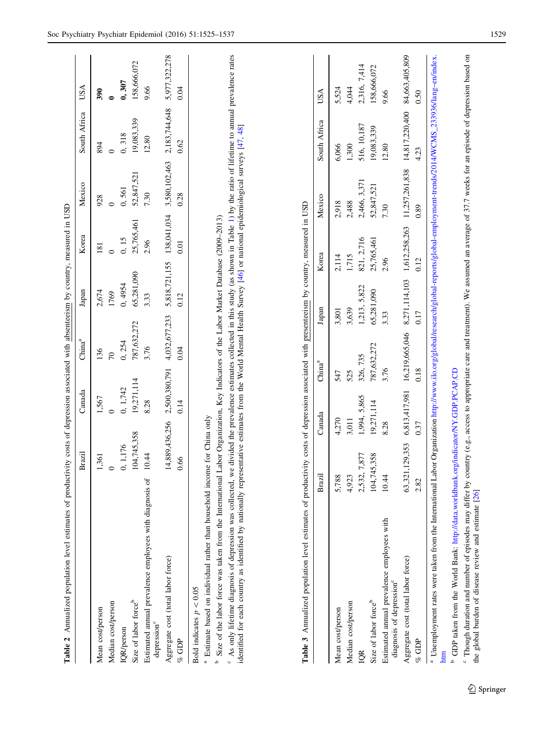<span id="page-4-0"></span>

| Estimated annual prevalence employees with diagnosis of<br>Size of labor force <sup>b</sup><br>Median cost/person<br>Mean cost/person<br>depression <sup>c</sup><br>IQR/person                                                                                                                                                                                                                                                                                |                    | 1,567         | 136<br>$\mathcal{L}$                                                        | 2,674         | 181           | 928<br>$\circ$ |                |                |
|---------------------------------------------------------------------------------------------------------------------------------------------------------------------------------------------------------------------------------------------------------------------------------------------------------------------------------------------------------------------------------------------------------------------------------------------------------------|--------------------|---------------|-----------------------------------------------------------------------------|---------------|---------------|----------------|----------------|----------------|
|                                                                                                                                                                                                                                                                                                                                                                                                                                                               | 1,361              |               |                                                                             |               |               |                | 894            | 390            |
|                                                                                                                                                                                                                                                                                                                                                                                                                                                               | 0                  | $\circ$       |                                                                             | 1769          | $\circ$       |                | $\circ$        |                |
|                                                                                                                                                                                                                                                                                                                                                                                                                                                               | 0, 1, 176          | 0, 1,742      | 0, 254                                                                      | 0, 4954       | 0, 15         | 0,561          | 0,318          | 0, 307         |
|                                                                                                                                                                                                                                                                                                                                                                                                                                                               | 104,745,358        | 19,271,114    | 787,632,272                                                                 | 65,281,090    | 25,765,461    | 52,847,521     | 19,083,339     | 158,666,072    |
|                                                                                                                                                                                                                                                                                                                                                                                                                                                               | 10.44              | 8.28          | 3.76                                                                        | 3.33          | 2.96          | 7.30           | 12.80          | 9.66           |
| Aggregate cost (total labor force)                                                                                                                                                                                                                                                                                                                                                                                                                            | 14,889,436,256     | 2,500,380,791 | 4,032,677,233                                                               | 5,818,721,155 | 138,041,034   | 3,580,102,463  | 2,183,744,648  | 5,977,322,278  |
| $%$ GDP                                                                                                                                                                                                                                                                                                                                                                                                                                                       | 0.66               | 0.14          | 0.04                                                                        | 0.12          | 0.01          | 0.28           | 0.62           | 9.04           |
| Bold indicates $p < 0.05$                                                                                                                                                                                                                                                                                                                                                                                                                                     |                    |               |                                                                             |               |               |                |                |                |
| <sup>a</sup> Estimate based on individual rather than household income for China only                                                                                                                                                                                                                                                                                                                                                                         |                    |               |                                                                             |               |               |                |                |                |
| <sup>6</sup> As only lifetime diagnosis of depression was collected, we divided the prevalence estimates collected in this study (as shown in Table 1) by the ratio of lifetime to annual prevalence rates<br>identified for each country as identified by nationally representative estimates from the World Mental Health Survey [46] or national epidemiological surveys [47, 48]<br><sup>b</sup> Size of the labor force was taken from the International |                    |               | Labor Organization, Key Indicators of the Labor Market Database (2009-2013) |               |               |                |                |                |
|                                                                                                                                                                                                                                                                                                                                                                                                                                                               | Brazil             | Canada        | China <sup>a</sup>                                                          | Japan         | Korea         | Mexico         | South Africa   | USA            |
| Mean cost/person                                                                                                                                                                                                                                                                                                                                                                                                                                              | 5,788              | 4,270         | 547                                                                         | 3,801         | 2,114         | 2,918          | 6,066          | 5,524          |
| Median cost/person                                                                                                                                                                                                                                                                                                                                                                                                                                            | 4,923              | 3,011         | 525                                                                         | 3,639         | 1,715         | 2,488          | 1,300          | 4,044          |
| DR                                                                                                                                                                                                                                                                                                                                                                                                                                                            | 7,877<br>2,532,    | 1,994, 5,865  | 326, 735                                                                    | 1,213, 5,822  | 821, 2,716    | 2,466, 3,371   | 516, 10, 187   | 2,316, 7,414   |
| Size of labor force <sup>b</sup>                                                                                                                                                                                                                                                                                                                                                                                                                              | 15,358<br>104,74   | 19,271,114    | 787,632,272                                                                 | 65,281,090    | 25,765,461    | 52,847,521     | 19,083,339     | 158,666,072    |
| Estimated annual prevalence employees with<br>diagnosis of depression <sup>c</sup>                                                                                                                                                                                                                                                                                                                                                                            | 10.44              | 8.28          | 3.76                                                                        | 3.33          | 2.96          | 7.30           | 12.80          | 9.66           |
| Aggregate cost (total labor force)                                                                                                                                                                                                                                                                                                                                                                                                                            | ,129,353<br>63,321 | 6,813,417,981 | 16,219,665,046                                                              | 8,271,114,103 | 1,612,258,263 | 11,257,261,838 | 14,817,220,400 | 84,663,405,809 |
| $%$ GDP                                                                                                                                                                                                                                                                                                                                                                                                                                                       | 2.82               | 0.37          | 0.18                                                                        | 0.17          | 0.12          | 0.89           | 4.23           | 0.50           |
| <sup>a</sup> Unemployment rates were taken from the International Labor Organization http://www.ilo.org/global/research/global-reports/global-employment-trends/2014/WCMS_233936/lang-en/index.<br><sup>b</sup> GDP taken from the World Bank: http://data.worldbank.org/indicator/NY.GDP.PCAP.CD<br>htm                                                                                                                                                      |                    |               |                                                                             |               |               |                |                |                |
| Though duration and number of episodes may differ by country (e.g., access to appropriate care and treatment). We assumed an average of 37.7 weeks for an episode of depression based on<br>the global burden of disease review and estimate [26]                                                                                                                                                                                                             |                    |               |                                                                             |               |               |                |                |                |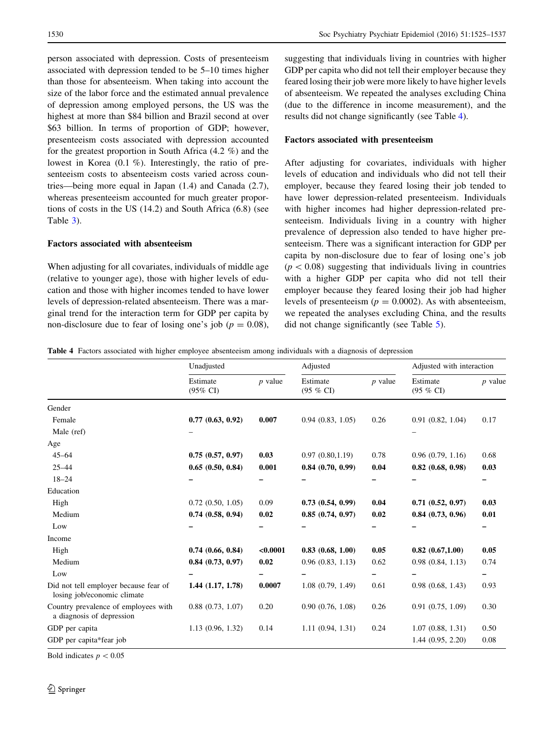person associated with depression. Costs of presenteeism associated with depression tended to be 5–10 times higher than those for absenteeism. When taking into account the size of the labor force and the estimated annual prevalence of depression among employed persons, the US was the highest at more than \$84 billion and Brazil second at over \$63 billion. In terms of proportion of GDP; however, presenteeism costs associated with depression accounted for the greatest proportion in South Africa (4.2 %) and the lowest in Korea (0.1 %). Interestingly, the ratio of presenteeism costs to absenteeism costs varied across countries—being more equal in Japan (1.4) and Canada (2.7), whereas presenteeism accounted for much greater proportions of costs in the US (14.2) and South Africa (6.8) (see Table [3](#page-4-0)).

# Factors associated with absenteeism

When adjusting for all covariates, individuals of middle age (relative to younger age), those with higher levels of education and those with higher incomes tended to have lower levels of depression-related absenteeism. There was a marginal trend for the interaction term for GDP per capita by non-disclosure due to fear of losing one's job ( $p = 0.08$ ), suggesting that individuals living in countries with higher GDP per capita who did not tell their employer because they feared losing their job were more likely to have higher levels of absenteeism. We repeated the analyses excluding China (due to the difference in income measurement), and the results did not change significantly (see Table 4).

#### Factors associated with presenteeism

After adjusting for covariates, individuals with higher levels of education and individuals who did not tell their employer, because they feared losing their job tended to have lower depression-related presenteeism. Individuals with higher incomes had higher depression-related presenteeism. Individuals living in a country with higher prevalence of depression also tended to have higher presenteeism. There was a significant interaction for GDP per capita by non-disclosure due to fear of losing one's job  $(p<0.08)$  suggesting that individuals living in countries with a higher GDP per capita who did not tell their employer because they feared losing their job had higher levels of presenteeism ( $p = 0.0002$ ). As with absenteeism, we repeated the analyses excluding China, and the results did not change significantly (see Table [5](#page-6-0)).

Table 4 Factors associated with higher employee absenteeism among individuals with a diagnosis of depression

|                                                                      | Unadjusted                      |           | Adjusted                 |           | Adjusted with interaction |           |
|----------------------------------------------------------------------|---------------------------------|-----------|--------------------------|-----------|---------------------------|-----------|
|                                                                      | Estimate<br>$(95\% \text{ CI})$ | $p$ value | Estimate<br>$(95 \% CI)$ | $p$ value | Estimate<br>$(95 \% CI)$  | $p$ value |
| Gender                                                               |                                 |           |                          |           |                           |           |
| Female                                                               | 0.77(0.63, 0.92)                | 0.007     | 0.94(0.83, 1.05)         | 0.26      | 0.91(0.82, 1.04)          | 0.17      |
| Male (ref)                                                           |                                 |           |                          |           |                           |           |
| Age                                                                  |                                 |           |                          |           |                           |           |
| $45 - 64$                                                            | 0.75(0.57, 0.97)                | 0.03      | 0.97(0.80, 1.19)         | 0.78      | 0.96(0.79, 1.16)          | 0.68      |
| $25 - 44$                                                            | 0.65(0.50, 0.84)                | 0.001     | 0.84(0.70, 0.99)         | 0.04      | $0.82$ $(0.68, 0.98)$     | 0.03      |
| $18 - 24$                                                            |                                 |           |                          |           |                           |           |
| Education                                                            |                                 |           |                          |           |                           |           |
| High                                                                 | 0.72(0.50, 1.05)                | 0.09      | 0.73(0.54, 0.99)         | 0.04      | $0.71$ $(0.52, 0.97)$     | 0.03      |
| Medium                                                               | 0.74(0.58, 0.94)                | 0.02      | 0.85(0.74, 0.97)         | 0.02      | 0.84(0.73, 0.96)          | 0.01      |
| Low                                                                  |                                 |           |                          |           |                           |           |
| Income                                                               |                                 |           |                          |           |                           |           |
| High                                                                 | 0.74(0.66, 0.84)                | < 0.0001  | 0.83(0.68, 1.00)         | 0.05      | 0.82(0.67,1.00)           | 0.05      |
| Medium                                                               | 0.84(0.73, 0.97)                | 0.02      | 0.96(0.83, 1.13)         | 0.62      | 0.98(0.84, 1.13)          | 0.74      |
| Low                                                                  |                                 |           |                          |           |                           |           |
| Did not tell employer because fear of<br>losing job/economic climate | $1.44$ $(1.17, 1.78)$           | 0.0007    | 1.08(0.79, 1.49)         | 0.61      | 0.98(0.68, 1.43)          | 0.93      |
| Country prevalence of employees with<br>a diagnosis of depression    | 0.88(0.73, 1.07)                | 0.20      | 0.90(0.76, 1.08)         | 0.26      | 0.91(0.75, 1.09)          | 0.30      |
| GDP per capita                                                       | 1.13(0.96, 1.32)                | 0.14      | 1.11(0.94, 1.31)         | 0.24      | 1.07(0.88, 1.31)          | 0.50      |
| GDP per capita*fear job                                              |                                 |           |                          |           | 1.44(0.95, 2.20)          | 0.08      |

Bold indicates  $p < 0.05$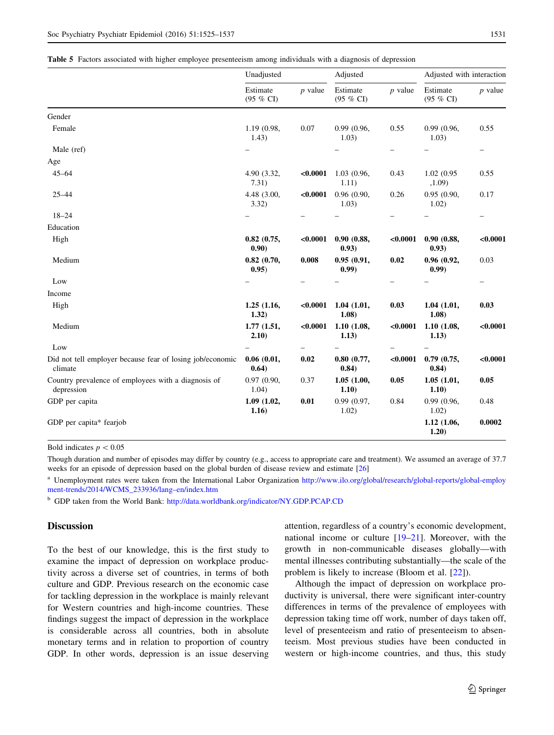<span id="page-6-0"></span>

|  |  |  |  |  |  | Table 5 Factors associated with higher employee presenteeism among individuals with a diagnosis of depression |  |  |  |  |  |  |
|--|--|--|--|--|--|---------------------------------------------------------------------------------------------------------------|--|--|--|--|--|--|
|--|--|--|--|--|--|---------------------------------------------------------------------------------------------------------------|--|--|--|--|--|--|

|                                                                      | Unadjusted                |           | Adjusted              |                          | Adjusted with interaction |                          |
|----------------------------------------------------------------------|---------------------------|-----------|-----------------------|--------------------------|---------------------------|--------------------------|
|                                                                      | Estimate<br>(95 % CI)     | $p$ value | Estimate<br>(95 % CI) | $p$ value                | Estimate<br>(95 % CI)     | $p$ value                |
| Gender                                                               |                           |           |                       |                          |                           |                          |
| Female                                                               | 1.19 (0.98,<br>1.43)      | 0.07      | 0.99 (0.96,<br>1.03)  | 0.55                     | 0.99 (0.96,<br>1.03)      | 0.55                     |
| Male (ref)                                                           |                           |           |                       | -                        |                           | -                        |
| Age                                                                  |                           |           |                       |                          |                           |                          |
| $45 - 64$                                                            | 4.90 (3.32,<br>7.31)      | < 0.0001  | 1.03 (0.96,<br>1.11)  | 0.43                     | 1.02 (0.95<br>,1.09)      | 0.55                     |
| $25 - 44$                                                            | 4.48 (3.00,<br>3.32)      | < 0.0001  | 0.96(0.90,<br>1.03)   | 0.26                     | 0.95(0.90,<br>1.02)       | 0.17                     |
| $18 - 24$                                                            |                           |           |                       |                          |                           | $\qquad \qquad -$        |
| Education                                                            |                           |           |                       |                          |                           |                          |
| High                                                                 | $0.82$ $(0.75,$<br>(0.90) | < 0.0001  | 0.90(0.88,<br>(0.93)  | < 0.0001                 | 0.90(0.88,<br>(0.93)      | < 0.0001                 |
| Medium                                                               | 0.82(0.70,<br>0.95)       | 0.008     | 0.95(0.91,<br>(0.99)  | 0.02                     | 0.96(0.92,<br>(0.99)      | 0.03                     |
| Low                                                                  |                           |           |                       | $\overline{\phantom{0}}$ |                           | $\overline{\phantom{0}}$ |
| Income                                                               |                           |           |                       |                          |                           |                          |
| High                                                                 | 1.25(1.16,<br>1.32)       | < 0.0001  | 1.04(1.01,<br>1.08)   | 0.03                     | 1.04(1.01,<br>1.08)       | 0.03                     |
| Medium                                                               | 1.77(1.51,<br>2.10)       | < 0.0001  | 1.10(1.08,<br>1.13)   | < 0.0001                 | 1.10(1.08,<br>1.13)       | < 0.0001                 |
| Low                                                                  |                           | -         |                       |                          |                           |                          |
| Did not tell employer because fear of losing job/economic<br>climate | 0.06(0.01,<br>0.64)       | 0.02      | 0.80(0.77,<br>0.84)   | < 0.0001                 | 0.79(0.75,<br>0.84)       | < 0.0001                 |
| Country prevalence of employees with a diagnosis of<br>depression    | 0.97(0.90,<br>1.04)       | 0.37      | 1.05(1.00,<br>1.10)   | 0.05                     | 1.05(1.01,<br>1.10)       | 0.05                     |
| GDP per capita                                                       | 1.09 (1.02,<br>1.16)      | 0.01      | 0.99 (0.97,<br>1.02)  | 0.84                     | 0.99 (0.96,<br>1.02)      | 0.48                     |
| GDP per capita* fearjob                                              |                           |           |                       |                          | 1.12 (1.06,<br>1.20)      | 0.0002                   |

Bold indicates  $p < 0.05$ 

Though duration and number of episodes may differ by country (e.g., access to appropriate care and treatment). We assumed an average of 37.7 weeks for an episode of depression based on the global burden of disease review and estimate [[26](#page-11-0)]

<sup>a</sup> Unemployment rates were taken from the International Labor Organization [http://www.ilo.org/global/research/global-reports/global-employ](http://www.ilo.org/global/research/global-reports/global-employment-trends/2014/WCMS_233936/lang--en/index.htm) [ment-trends/2014/WCMS\\_233936/lang–en/index.htm](http://www.ilo.org/global/research/global-reports/global-employment-trends/2014/WCMS_233936/lang--en/index.htm)

<sup>b</sup> GDP taken from the World Bank: <http://data.worldbank.org/indicator/NY.GDP.PCAP.CD>

## **Discussion**

To the best of our knowledge, this is the first study to examine the impact of depression on workplace productivity across a diverse set of countries, in terms of both culture and GDP. Previous research on the economic case for tackling depression in the workplace is mainly relevant for Western countries and high-income countries. These findings suggest the impact of depression in the workplace is considerable across all countries, both in absolute monetary terms and in relation to proportion of country GDP. In other words, depression is an issue deserving

attention, regardless of a country's economic development, national income or culture [[19–21\]](#page-11-0). Moreover, with the growth in non-communicable diseases globally—with mental illnesses contributing substantially—the scale of the problem is likely to increase (Bloom et al. [\[22](#page-11-0)]).

Although the impact of depression on workplace productivity is universal, there were significant inter-country differences in terms of the prevalence of employees with depression taking time off work, number of days taken off, level of presenteeism and ratio of presenteeism to absenteeism. Most previous studies have been conducted in western or high-income countries, and thus, this study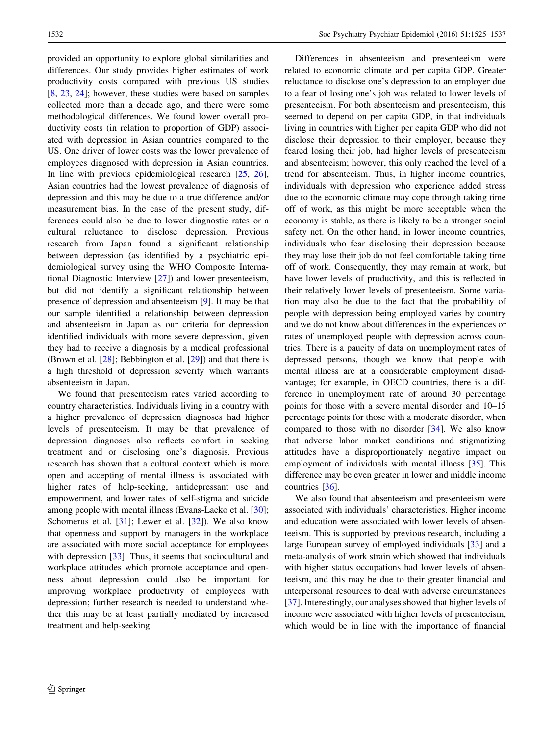provided an opportunity to explore global similarities and differences. Our study provides higher estimates of work productivity costs compared with previous US studies [\[8](#page-11-0), [23](#page-11-0), [24\]](#page-11-0); however, these studies were based on samples collected more than a decade ago, and there were some methodological differences. We found lower overall productivity costs (in relation to proportion of GDP) associated with depression in Asian countries compared to the US. One driver of lower costs was the lower prevalence of employees diagnosed with depression in Asian countries. In line with previous epidemiological research [\[25](#page-11-0), [26](#page-11-0)], Asian countries had the lowest prevalence of diagnosis of depression and this may be due to a true difference and/or measurement bias. In the case of the present study, differences could also be due to lower diagnostic rates or a cultural reluctance to disclose depression. Previous research from Japan found a significant relationship between depression (as identified by a psychiatric epidemiological survey using the WHO Composite International Diagnostic Interview [[27\]](#page-11-0)) and lower presenteeism, but did not identify a significant relationship between presence of depression and absenteeism [[9\]](#page-11-0). It may be that our sample identified a relationship between depression and absenteeism in Japan as our criteria for depression identified individuals with more severe depression, given they had to receive a diagnosis by a medical professional (Brown et al. [\[28](#page-11-0)]; Bebbington et al. [[29\]](#page-11-0)) and that there is a high threshold of depression severity which warrants absenteeism in Japan.

We found that presenteeism rates varied according to country characteristics. Individuals living in a country with a higher prevalence of depression diagnoses had higher levels of presenteeism. It may be that prevalence of depression diagnoses also reflects comfort in seeking treatment and or disclosing one's diagnosis. Previous research has shown that a cultural context which is more open and accepting of mental illness is associated with higher rates of help-seeking, antidepressant use and empowerment, and lower rates of self-stigma and suicide among people with mental illness (Evans-Lacko et al. [\[30](#page-11-0)]; Schomerus et al. [[31\]](#page-12-0); Lewer et al. [[32\]](#page-12-0)). We also know that openness and support by managers in the workplace are associated with more social acceptance for employees with depression [\[33](#page-12-0)]. Thus, it seems that sociocultural and workplace attitudes which promote acceptance and openness about depression could also be important for improving workplace productivity of employees with depression; further research is needed to understand whether this may be at least partially mediated by increased treatment and help-seeking.

Differences in absenteeism and presenteeism were related to economic climate and per capita GDP. Greater reluctance to disclose one's depression to an employer due to a fear of losing one's job was related to lower levels of presenteeism. For both absenteeism and presenteeism, this seemed to depend on per capita GDP, in that individuals living in countries with higher per capita GDP who did not disclose their depression to their employer, because they feared losing their job, had higher levels of presenteeism and absenteeism; however, this only reached the level of a trend for absenteeism. Thus, in higher income countries, individuals with depression who experience added stress due to the economic climate may cope through taking time off of work, as this might be more acceptable when the economy is stable, as there is likely to be a stronger social safety net. On the other hand, in lower income countries, individuals who fear disclosing their depression because they may lose their job do not feel comfortable taking time off of work. Consequently, they may remain at work, but have lower levels of productivity, and this is reflected in their relatively lower levels of presenteeism. Some variation may also be due to the fact that the probability of people with depression being employed varies by country and we do not know about differences in the experiences or rates of unemployed people with depression across countries. There is a paucity of data on unemployment rates of depressed persons, though we know that people with mental illness are at a considerable employment disadvantage; for example, in OECD countries, there is a difference in unemployment rate of around 30 percentage points for those with a severe mental disorder and 10–15 percentage points for those with a moderate disorder, when compared to those with no disorder [[34\]](#page-12-0). We also know that adverse labor market conditions and stigmatizing attitudes have a disproportionately negative impact on employment of individuals with mental illness [[35\]](#page-12-0). This difference may be even greater in lower and middle income countries [[36](#page-12-0)].

We also found that absenteeism and presenteeism were associated with individuals' characteristics. Higher income and education were associated with lower levels of absenteeism. This is supported by previous research, including a large European survey of employed individuals [[33\]](#page-12-0) and a meta-analysis of work strain which showed that individuals with higher status occupations had lower levels of absenteeism, and this may be due to their greater financial and interpersonal resources to deal with adverse circumstances [\[37](#page-12-0)]. Interestingly, our analyses showed that higher levels of income were associated with higher levels of presenteeism, which would be in line with the importance of financial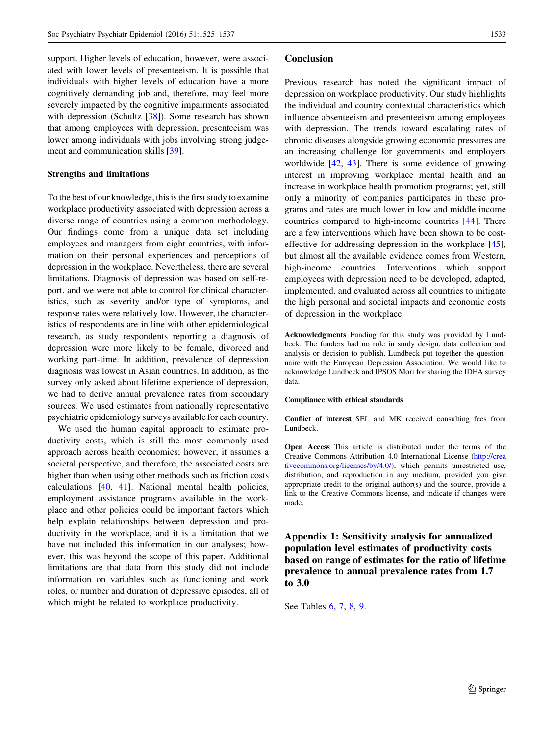support. Higher levels of education, however, were associated with lower levels of presenteeism. It is possible that individuals with higher levels of education have a more cognitively demanding job and, therefore, may feel more severely impacted by the cognitive impairments associated with depression (Schultz [[38\]](#page-12-0)). Some research has shown that among employees with depression, presenteeism was lower among individuals with jobs involving strong judgement and communication skills [\[39](#page-12-0)].

## Strengths and limitations

To the best of our knowledge, this is the first study to examine workplace productivity associated with depression across a diverse range of countries using a common methodology. Our findings come from a unique data set including employees and managers from eight countries, with information on their personal experiences and perceptions of depression in the workplace. Nevertheless, there are several limitations. Diagnosis of depression was based on self-report, and we were not able to control for clinical characteristics, such as severity and/or type of symptoms, and response rates were relatively low. However, the characteristics of respondents are in line with other epidemiological research, as study respondents reporting a diagnosis of depression were more likely to be female, divorced and working part-time. In addition, prevalence of depression diagnosis was lowest in Asian countries. In addition, as the survey only asked about lifetime experience of depression, we had to derive annual prevalence rates from secondary sources. We used estimates from nationally representative psychiatric epidemiology surveys available for each country.

We used the human capital approach to estimate productivity costs, which is still the most commonly used approach across health economics; however, it assumes a societal perspective, and therefore, the associated costs are higher than when using other methods such as friction costs calculations [[40,](#page-12-0) [41\]](#page-12-0). National mental health policies, employment assistance programs available in the workplace and other policies could be important factors which help explain relationships between depression and productivity in the workplace, and it is a limitation that we have not included this information in our analyses; however, this was beyond the scope of this paper. Additional limitations are that data from this study did not include information on variables such as functioning and work roles, or number and duration of depressive episodes, all of which might be related to workplace productivity.

#### Conclusion

Previous research has noted the significant impact of depression on workplace productivity. Our study highlights the individual and country contextual characteristics which influence absenteeism and presenteeism among employees with depression. The trends toward escalating rates of chronic diseases alongside growing economic pressures are an increasing challenge for governments and employers worldwide [[42,](#page-12-0) [43\]](#page-12-0). There is some evidence of growing interest in improving workplace mental health and an increase in workplace health promotion programs; yet, still only a minority of companies participates in these programs and rates are much lower in low and middle income countries compared to high-income countries [\[44\]](#page-12-0). There are a few interventions which have been shown to be costeffective for addressing depression in the workplace [\[45](#page-12-0)], but almost all the available evidence comes from Western, high-income countries. Interventions which support employees with depression need to be developed, adapted, implemented, and evaluated across all countries to mitigate the high personal and societal impacts and economic costs of depression in the workplace.

Acknowledgments Funding for this study was provided by Lundbeck. The funders had no role in study design, data collection and analysis or decision to publish. Lundbeck put together the questionnaire with the European Depression Association. We would like to acknowledge Lundbeck and IPSOS Mori for sharing the IDEA survey data.

## Compliance with ethical standards

Conflict of interest SEL and MK received consulting fees from Lundbeck.

Open Access This article is distributed under the terms of the Creative Commons Attribution 4.0 International License ([http://crea](http://creativecommons.org/licenses/by/4.0/) [tivecommons.org/licenses/by/4.0/\)](http://creativecommons.org/licenses/by/4.0/), which permits unrestricted use, distribution, and reproduction in any medium, provided you give appropriate credit to the original author(s) and the source, provide a link to the Creative Commons license, and indicate if changes were made.

Appendix 1: Sensitivity analysis for annualized population level estimates of productivity costs based on range of estimates for the ratio of lifetime prevalence to annual prevalence rates from 1.7 to 3.0

See Tables [6,](#page-9-0) [7,](#page-9-0) [8,](#page-10-0) [9](#page-10-0).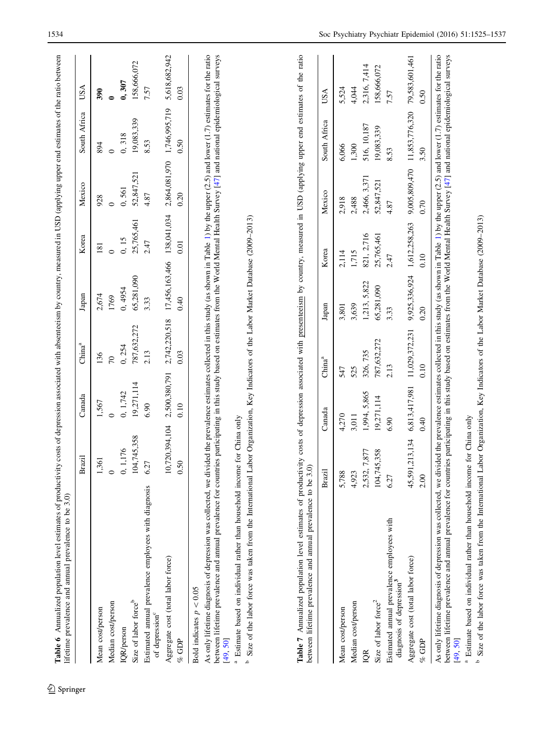<span id="page-9-0"></span>

|                                                                                                                                                                                                                                                                                                                                                                                                                  |                        |               |                                                                             |                |               | Mexico        | South Africa   | USA            |
|------------------------------------------------------------------------------------------------------------------------------------------------------------------------------------------------------------------------------------------------------------------------------------------------------------------------------------------------------------------------------------------------------------------|------------------------|---------------|-----------------------------------------------------------------------------|----------------|---------------|---------------|----------------|----------------|
| Mean cost/person                                                                                                                                                                                                                                                                                                                                                                                                 | ,361                   | 1,567         | 136                                                                         | 2,674          | 181           | 928           | 894            | 390            |
| Median cost/person                                                                                                                                                                                                                                                                                                                                                                                               |                        | $\circ$       | $\mathcal{L}$                                                               | 1769           | $\circ$       | $\circ$       | $\circ$        |                |
| IQR/person                                                                                                                                                                                                                                                                                                                                                                                                       | 0, 1, 176              | 0, 1,742      | 0, 254                                                                      | 0, 4954        | 0, 15         | 0,561         | 0,318          | 0, 307         |
| Size of labor force <sup>b</sup>                                                                                                                                                                                                                                                                                                                                                                                 | 04,745,358             | 19,271,114    | 787,632,272                                                                 | 65,281,090     | 25,765,461    | 52,847,521    | 19,083,339     | 158,666,072    |
| Estimated annual prevalence employees with diagnosis<br>of depression <sup>c</sup>                                                                                                                                                                                                                                                                                                                               | 6.27                   | 6.90          | 2.13                                                                        | 3.33           | 2.47          | 4.87          | 8.53           | 7.57           |
| Aggregate cost (total labor force)                                                                                                                                                                                                                                                                                                                                                                               | 0,720,394,104          | 2,500,380,791 | 2,742,220,518                                                               | 17,456,163,466 | 138,041,034   | 2,864,081,970 | 1,746,995,719  | 5,618,682,942  |
| % GDP                                                                                                                                                                                                                                                                                                                                                                                                            | 0.50                   | 0.10          | 0.03                                                                        | 0.40           | 0.01          | 0.20          | 0.50           | 0.03           |
| Bold indicates $p < 0.05$                                                                                                                                                                                                                                                                                                                                                                                        |                        |               |                                                                             |                |               |               |                |                |
| As only lifetime diagnosis of depression was collected, we divided the prevalence estimates collected in this study (as shown in Table 1) by the upper (2.5) and lower (1.7) estimates for the ratio<br>between lifetime prevalence and annual prevalence for countries participating in this study based on estimates from the World Mental Health Survey [47] and national epidemiological surveys<br>[49, 50] |                        |               |                                                                             |                |               |               |                |                |
| <sup>a</sup> Estimate based on individual rather than household incom<br>Size of the labor force was taken from the International I<br>م                                                                                                                                                                                                                                                                         | ne for China only      |               | Labor Organization, Key Indicators of the Labor Market Database (2009-2013) |                |               |               |                |                |
| Table 7 Annualized population level estimates of productivity costs of depression associated with presenteeism by country, measured in USD (applying upper end estimates of the ratio<br>between lifetime prevalence and annual prevalence to be 3.                                                                                                                                                              | $\widehat{\mathbf{c}}$ |               |                                                                             |                |               |               |                |                |
|                                                                                                                                                                                                                                                                                                                                                                                                                  | Brazil                 | Canada        | China <sup>a</sup>                                                          | Japan          | Korea         | Mexico        | South Africa   | USA            |
| Mean cost/person                                                                                                                                                                                                                                                                                                                                                                                                 | 5,788                  | 4,270         | 547                                                                         | 3,801          | 2,114         | 2,918         | 6,066          | 5,524          |
| Median cost/person                                                                                                                                                                                                                                                                                                                                                                                               | 4,923                  | 3,011         | 525                                                                         | 3,639          | 1,715         | 2,488         | 1,300          | 4,044          |
| <b>IQR</b>                                                                                                                                                                                                                                                                                                                                                                                                       | 2,532, 7,877           | 1,994, 5,865  | 326, 735                                                                    | 1,213, 5,822   | 821, 2,716    | 2,466, 3,371  | 516, 10, 187   | 2,316, 7,414   |
| Size of labor force <sup>2</sup>                                                                                                                                                                                                                                                                                                                                                                                 | 104,745,358            | 19,271,114    | 787,632,272                                                                 | 65,281,090     | 25,765,461    | 52,847,521    | 19,083,339     | 158,666,072    |
| Estimated annual prevalence employees with<br>diagnosis of depression <sup>3</sup>                                                                                                                                                                                                                                                                                                                               | 6.27                   | 6.90          | 2.13                                                                        | 3.33           | 2.47          | 4.87          | 8.53           | 7.57           |
| Aggregate cost (total labor force)                                                                                                                                                                                                                                                                                                                                                                               | 45,591,213,134         | 6,813,417,981 | 11,029,372,231                                                              | 9,925,336,924  | 1,612,258,263 | 9,005,809,470 | 11,853,776,320 | 79,583,601,461 |
| $%$ GDP                                                                                                                                                                                                                                                                                                                                                                                                          | 2.00                   | 0.40          | 0.10                                                                        | 0.20           | 0.10          | 0.70          | 3.50           | 0.50           |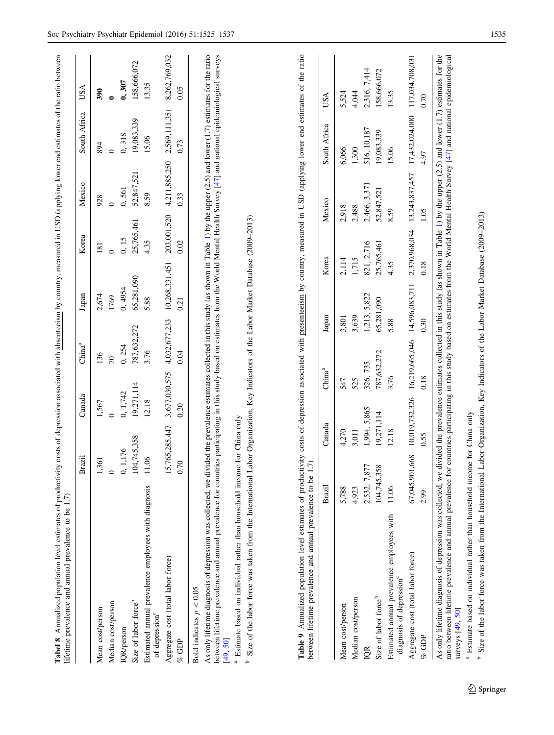<span id="page-10-0"></span>

|                                                                                    | Brazil         | Canada         | China <sup>a</sup> | Japan                           | Korea         | Mexico         | Africa<br>South. | USA             |
|------------------------------------------------------------------------------------|----------------|----------------|--------------------|---------------------------------|---------------|----------------|------------------|-----------------|
| Mean cost/person                                                                   | ,361           | 1,567          | 136                | 2,674                           | 181           | 928            | 894              | 390             |
| Median cost/person                                                                 |                | $\circ$        | $\infty$           | 1769                            | $\circ$       | $\circ$        | $\circ$          |                 |
| IQR/person                                                                         | 0, 1, 176      | 0, 1,742       | 0, 254             | 0, 4954                         | 0, 15         | 0,561          | 0,318            | 0, 307          |
| Size of labor force <sup>b</sup>                                                   | 104,745,358    | 19,271,114     | 787,632,272        | 65,281,090                      | 25,765,461    | 52,847,521     | 19,083,339       | 158,666,072     |
| Estimated annual prevalence employees with diagnosis<br>of depression <sup>c</sup> | 11.06          | 12.18          | 3.76               | 5.88                            | 4.35          | 8.59           | 15.06            | 13.35           |
| Aggregate cost (total labor force)                                                 |                | 5,765,285,447  | 3,677,030,575      | 10,268,331,451<br>4,032,677,233 | 203,001,520   | 4,211,885,250  | 2,569,111,351    | 8,262,769,032   |
| GDP<br>oz                                                                          | 0.70           | 0.20           | 0.04               | 0.21                            | 0.02          | 0.33           | 0.73             | 0.05            |
|                                                                                    | Brazil         | Canada         | China <sup>a</sup> | Japan                           | Korea         | Mexico         | South Africa     | USA             |
| Mean cost/person                                                                   | 5,788          | 4,270          | 547                | 3,801                           | 2,114         | 2,918          | 6,066            | 5,524           |
| Median cost/person                                                                 | 4,923          | 3,011          | 525                | 3,639                           | 1,715         | 2,488          | 1,300            | 4,044           |
| DR                                                                                 | 2,532, 7,877   | 1,994, 5,865   | 326, 735           | 1,213, 5,822                    | 821, 2,716    | 2,466, 3,371   | 516, 10, 187     | 2,316, 7,414    |
| Size of labor force <sup>b</sup>                                                   | 104,745,358    | 19,271,114     | 787,632,272        | 65,281,090                      | 25,765,461    | 52,847,521     | 19,083,339       | 158,666,072     |
| Estimated annual prevalence employees with<br>diagnosis of depression <sup>c</sup> | 11.06          | 12.18          | 3.76               | 5.88                            | 4.35          | 8.59           | 15.06            | 13.35           |
| Aggregate cost (total labor force)                                                 | 67,045,901,668 | 10,019,732,326 | 16,219,665,046     | 14,596,083,711                  | 2,370,968,034 | 13,243,837,457 | 17,432,024,000   | 117,034,708,031 |
| % GDP                                                                              | 2.99           | 0.55           | 0.18               | 0.30                            | 0.18          | 1.05           | 4.97             | 0.70            |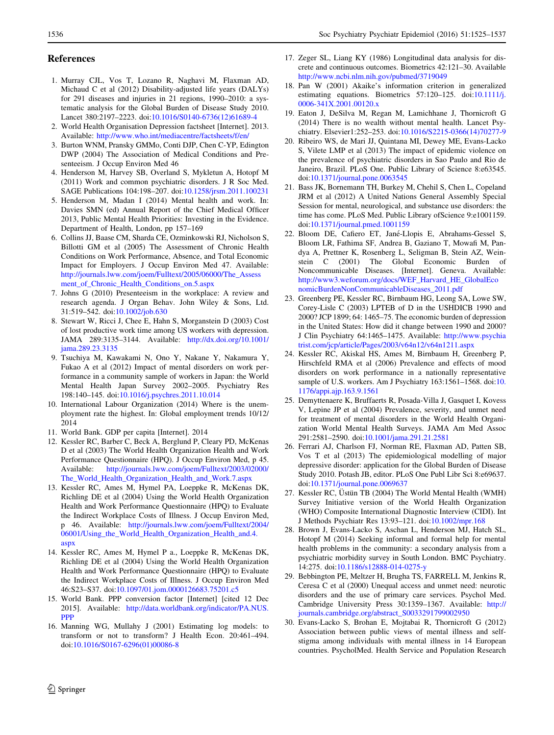## <span id="page-11-0"></span>References

- 1. Murray CJL, Vos T, Lozano R, Naghavi M, Flaxman AD, Michaud C et al (2012) Disability-adjusted life years (DALYs) for 291 diseases and injuries in 21 regions, 1990–2010: a systematic analysis for the Global Burden of Disease Study 2010. Lancet 380:2197–2223. doi[:10.1016/S0140-6736\(12\)61689-4](http://dx.doi.org/10.1016/S0140-6736(12)61689-4)
- 2. World Health Organisation Depression factsheet [Internet]. 2013. Available: <http://www.who.int/mediacentre/factsheets/f/en/>
- 3. Burton WNM, Pransky GMMo, Conti DJP, Chen C-YP, Edington DWP (2004) The Association of Medical Conditions and Presenteeism. J Occup Environ Med 46
- 4. Henderson M, Harvey SB, Overland S, Mykletun A, Hotopf M (2011) Work and common psychiatric disorders. J R Soc Med. SAGE Publications 104:198–207. doi:[10.1258/jrsm.2011.100231](http://dx.doi.org/10.1258/jrsm.2011.100231)
- 5. Henderson M, Madan I (2014) Mental health and work. In: Davies SMN (ed) Annual Report of the Chief Medical Officer 2013, Public Mental Health Priorities: Investing in the Evidence. Department of Health, London, pp 157–169
- 6. Collins JJ, Baase CM, Sharda CE, Ozminkowski RJ, Nicholson S, Billotti GM et al (2005) The Assessment of Chronic Health Conditions on Work Performance, Absence, and Total Economic Impact for Employers. J Occup Environ Med 47. Available: [http://journals.lww.com/joem/Fulltext/2005/06000/The\\_Assess](http://journals.lww.com/joem/Fulltext/2005/06000/The_Assessment_of_Chronic_Health_Conditions_on.5.aspx) [ment\\_of\\_Chronic\\_Health\\_Conditions\\_on.5.aspx](http://journals.lww.com/joem/Fulltext/2005/06000/The_Assessment_of_Chronic_Health_Conditions_on.5.aspx)
- 7. Johns G (2010) Presenteeism in the workplace: A review and research agenda. J Organ Behav. John Wiley & Sons, Ltd. 31:519–542. doi[:10.1002/job.630](http://dx.doi.org/10.1002/job.630)
- 8. Stewart W, Ricci J, Chee E, Hahn S, Morganstein D (2003) Cost of lost productive work time among US workers with depression. JAMA 289:3135–3144. Available: [http://dx.doi.org/10.1001/](http://dx.doi.org/10.1001/jama.289.23.3135) [jama.289.23.3135](http://dx.doi.org/10.1001/jama.289.23.3135)
- 9. Tsuchiya M, Kawakami N, Ono Y, Nakane Y, Nakamura Y, Fukao A et al (2012) Impact of mental disorders on work performance in a community sample of workers in Japan: the World Mental Health Japan Survey 2002–2005. Psychiatry Res 198:140–145. doi:[10.1016/j.psychres.2011.10.014](http://dx.doi.org/10.1016/j.psychres.2011.10.014)
- 10. International Labour Organization (2014) Where is the unemployment rate the highest. In: Global employment trends 10/12/ 2014
- 11. World Bank. GDP per capita [Internet]. 2014
- 12. Kessler RC, Barber C, Beck A, Berglund P, Cleary PD, McKenas D et al (2003) The World Health Organization Health and Work Performance Questionnaire (HPQ). J Occup Environ Med, p 45. Available: [http://journals.lww.com/joem/Fulltext/2003/02000/](http://journals.lww.com/joem/Fulltext/2003/02000/The_World_Health_Organization_Health_and_Work.7.aspx) The World Health Organization Health and Work.7.aspx
- 13. Kessler RC, Ames M, Hymel PA, Loeppke R, McKenas DK, Richling DE et al (2004) Using the World Health Organization Health and Work Performance Questionnaire (HPQ) to Evaluate the Indirect Workplace Costs of Illness. J Occup Environ Med, p 46. Available: [http://journals.lww.com/joem/Fulltext/2004/](http://journals.lww.com/joem/Fulltext/2004/06001/Using_the_World_Health_Organization_Health_and.4.aspx) 06001/Using the World Health Organization Health and.4. [aspx](http://journals.lww.com/joem/Fulltext/2004/06001/Using_the_World_Health_Organization_Health_and.4.aspx)
- 14. Kessler RC, Ames M, Hymel P a., Loeppke R, McKenas DK, Richling DE et al (2004) Using the World Health Organization Health and Work Performance Questionnaire (HPQ) to Evaluate the Indirect Workplace Costs of Illness. J Occup Environ Med 46:S23–S37. doi[:10.1097/01.jom.0000126683.75201.c5](http://dx.doi.org/10.1097/01.jom.0000126683.75201.c5)
- 15. World Bank. PPP conversion factor [Internet] [cited 12 Dec 2015]. Available: [http://data.worldbank.org/indicator/PA.NUS.](http://data.worldbank.org/indicator/PA.NUS.PPP) [PPP](http://data.worldbank.org/indicator/PA.NUS.PPP)
- 16. Manning WG, Mullahy J (2001) Estimating log models: to transform or not to transform? J Health Econ. 20:461–494. doi:[10.1016/S0167-6296\(01\)00086-8](http://dx.doi.org/10.1016/S0167-6296(01)00086-8)
- 17. Zeger SL, Liang KY (1986) Longitudinal data analysis for discrete and continuous outcomes. Biometrics 42:121–30. Available <http://www.ncbi.nlm.nih.gov/pubmed/3719049>
- 18. Pan W (2001) Akaike's information criterion in generalized estimating equations. Biometrics 57:120–125. doi:[10.1111/j.](http://dx.doi.org/10.1111/j.0006-341X.2001.00120.x) [0006-341X.2001.00120.x](http://dx.doi.org/10.1111/j.0006-341X.2001.00120.x)
- 19. Eaton J, DeSilva M, Regan M, Lamichhane J, Thornicroft G (2014) There is no wealth without mental health. Lancet Psychiatry. Elsevier1:252–253. doi:[10.1016/S2215-0366\(14\)70277-9](http://dx.doi.org/10.1016/S2215-0366(14)70277-9)
- 20. Ribeiro WS, de Mari JJ, Quintana MI, Dewey ME, Evans-Lacko S, Vilete LMP et al (2013) The impact of epidemic violence on the prevalence of psychiatric disorders in Sao Paulo and Rio de Janeiro, Brazil. PLoS One. Public Library of Science 8:e63545. doi:[10.1371/journal.pone.0063545](http://dx.doi.org/10.1371/journal.pone.0063545)
- 21. Bass JK, Bornemann TH, Burkey M, Chehil S, Chen L, Copeland JRM et al (2012) A United Nations General Assembly Special Session for mental, neurological, and substance use disorders: the time has come. PLoS Med. Public Library ofScience 9:e1001159. doi:[10.1371/journal.pmed.1001159](http://dx.doi.org/10.1371/journal.pmed.1001159)
- 22. Bloom DE, Cafiero ET, Jané-Llopis E, Abrahams-Gessel S, Bloom LR, Fathima SF, Andrea B, Gaziano T, Mowafi M, Pandya A, Prettner K, Rosenberg L, Seligman B, Stein AZ, Weinstein C (2001) The Global Economic Burden of Noncommunicable Diseases. [Internet]. Geneva. Available: [http://www3.weforum.org/docs/WEF\\_Harvard\\_HE\\_GlobalEco](http://www3.weforum.org/docs/WEF_Harvard_HE_GlobalEconomicBurdenNonCommunicableDiseases_2011.pdf) [nomicBurdenNonCommunicableDiseases\\_2011.pdf](http://www3.weforum.org/docs/WEF_Harvard_HE_GlobalEconomicBurdenNonCommunicableDiseases_2011.pdf)
- 23. Greenberg PE, Kessler RC, Birnbaum HG, Leong SA, Lowe SW, Corey-Lisle C (2003) LPTEB of D in the USHDICB 1990 and 2000? JCP 1899; 64: 1465–75. The economic burden of depression in the United States: How did it change between 1990 and 2000? J Clin Psychiatry 64:1465–1475. Available: [http://www.psychia](http://www.psychiatrist.com/jcp/article/Pages/2003/v64n12/v64n1211.aspx) [trist.com/jcp/article/Pages/2003/v64n12/v64n1211.aspx](http://www.psychiatrist.com/jcp/article/Pages/2003/v64n12/v64n1211.aspx)
- 24. Kessler RC, Akiskal HS, Ames M, Birnbaum H, Greenberg P, Hirschfeld RMA et al (2006) Prevalence and effects of mood disorders on work performance in a nationally representative sample of U.S. workers. Am J Psychiatry 163:1561–1568. doi:[10.](http://dx.doi.org/10.1176/appi.ajp.163.9.1561) [1176/appi.ajp.163.9.1561](http://dx.doi.org/10.1176/appi.ajp.163.9.1561)
- 25. Demyttenaere K, Bruffaerts R, Posada-Villa J, Gasquet I, Kovess V, Lepine JP et al (2004) Prevalence, severity, and unmet need for treatment of mental disorders in the World Health Organization World Mental Health Surveys. JAMA Am Med Assoc 291:2581–2590. doi[:10.1001/jama.291.21.2581](http://dx.doi.org/10.1001/jama.291.21.2581)
- 26. Ferrari AJ, Charlson FJ, Norman RE, Flaxman AD, Patten SB, Vos T et al (2013) The epidemiological modelling of major depressive disorder: application for the Global Burden of Disease Study 2010. Potash JB, editor. PLoS One Publ Libr Sci 8:e69637. doi:[10.1371/journal.pone.0069637](http://dx.doi.org/10.1371/journal.pone.0069637)
- 27. Kessler RC, Üstün TB (2004) The World Mental Health (WMH) Survey Initiative version of the World Health Organization (WHO) Composite International Diagnostic Interview (CIDI). Int J Methods Psychiatr Res 13:93–121. doi:[10.1002/mpr.168](http://dx.doi.org/10.1002/mpr.168)
- 28. Brown J, Evans-Lacko S, Aschan L, Henderson MJ, Hatch SL, Hotopf M (2014) Seeking informal and formal help for mental health problems in the community: a secondary analysis from a psychiatric morbidity survey in South London. BMC Psychiatry. 14:275. doi[:10.1186/s12888-014-0275-y](http://dx.doi.org/10.1186/s12888-014-0275-y)
- 29. Bebbington PE, Meltzer H, Brugha TS, FARRELL M, Jenkins R, Ceresa C et al (2000) Unequal access and unmet need: neurotic disorders and the use of primary care services. Psychol Med. Cambridge University Press 30:1359–1367. Available: [http://](http://journals.cambridge.org/abstract_S0033291799002950) [journals.cambridge.org/abstract\\_S0033291799002950](http://journals.cambridge.org/abstract_S0033291799002950)
- 30. Evans-Lacko S, Brohan E, Mojtabai R, Thornicroft G (2012) Association between public views of mental illness and selfstigma among individuals with mental illness in 14 European countries. PsycholMed. Health Service and Population Research